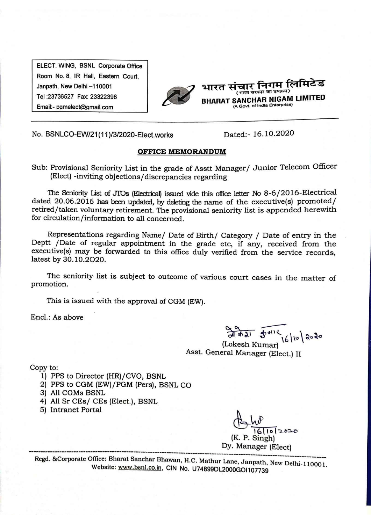ELECT. WING, BSNL Corporate Office Room No. 8, IR Hall, Eastern Court, Janpath, New Delhi -110001 Tel: 23736527 Fax: 23322398 Email:- pomelect@omail.com



No. BSNLCO-EW/21(11)/3/2020-Elect.works

Dated:- 16.10.2020

## **OFFICE MEMORANDUM**

Sub: Provisional Seniority List in the grade of Asstt Manager/ Junior Telecom Officer (Elect) -inviting objections/discrepancies regarding

The Seniority List of JTOs (Electrical) issued vide this office letter No 8-6/2016-Electrical dated 20.06.2016 has been updated, by deleting the name of the executive(s) promoted/ retired/taken voluntary retirement. The provisional seniority list is appended herewith for circulation/information to all concerned.

Representations regarding Name/ Date of Birth/ Category / Date of entry in the Deptt /Date of regular appointment in the grade etc, if any, received from the executive(s) may be forwarded to this office duly verified from the service records, latest by 30.10.2020.

The seniority list is subject to outcome of various court cases in the matter of promotion.

This is issued with the approval of CGM (EW).

Encl.: As above

 $\frac{8.9}{61.9921}$   $\frac{16}{16}$  10 | 2020 Asst. General Manager (Elect.) II

Copy to:

- 1) PPS to Director (HR)/CVO, BSNL
- 2) PPS to CGM (EW)/PGM (Pers), BSNL CO
- 3) All CGMs BSNL
- 4) All Sr CEs/ CEs (Elect.), BSNL
- 5) Intranet Portal

 $102020$ Singh) Dy. Manager (Elect)

Regd. &Corporate Office: Bharat Sanchar Bhawan, H.C. Mathur Lane, Janpath, New Delhi-110001. Website: www.bsnl.co.in, CIN No. U74899DL2000GOI107739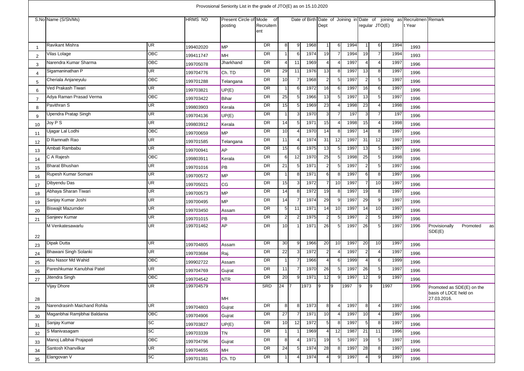|                |                              |                 |                | Provosional Seniority List in the grade of JTO(E) as on 15.10.2020 |                  |                 |                |      |                |                 |      |                          |                 |      |                                                                                 |                                        |
|----------------|------------------------------|-----------------|----------------|--------------------------------------------------------------------|------------------|-----------------|----------------|------|----------------|-----------------|------|--------------------------|-----------------|------|---------------------------------------------------------------------------------|----------------------------------------|
|                | S.No Name (S/Sh/Ms)          |                 | <b>HRMS NO</b> | Present Circle of Mode of<br>posting                               | Recruitem<br>ent |                 |                |      | Dept           |                 |      |                          | regular JTO(E)  |      | Date of Birth Date of Joining in Date of joining as Recruitmen Remark<br>t Year |                                        |
|                | Ravikant Mishra              | UR              | 199402020      | MP                                                                 | DR               | 8               | 9              | 1968 |                | 6               | 1994 | $\mathbf 1$              | 6               | 1994 | 1993                                                                            |                                        |
| 2              | Vilas Lolage                 | OBC             | 199411747      | MH                                                                 | DR               |                 | 6              | 1974 | 19             |                 | 1994 | 19                       | $\overline{7}$  | 1994 | 1993                                                                            |                                        |
| 3              | Narendra Kumar Sharma        | OBC             | 199705078      | Jharkhand                                                          | DR               | 4               | 11             | 1969 | 4              |                 | 1997 | $\overline{\mathcal{A}}$ | $\overline{4}$  | 1997 | 1996                                                                            |                                        |
| $\overline{4}$ | Sigamaninathan P             | <b>UR</b>       | 199704776      | Ch. TD                                                             | DR               | 29              | 11             | 1976 | 13             | -8              | 1997 | 13                       | 8               | 1997 | 1996                                                                            |                                        |
| 5              | Cheriala Anjaneyulu          | OBC             | 199701288      | Telangana                                                          | DR               | 10 <sup>1</sup> |                | 1968 | 2              | -5              | 1997 | $\overline{2}$           | $\sqrt{5}$      | 1997 | 1996                                                                            |                                        |
| 6              | Ved Prakash Tiwari           | <b>UR</b>       | 199703821      | UP(E)                                                              | DR               | $\overline{1}$  | 6              | 1972 | 16             | 6               | 1997 | 16                       | 6               | 1997 | 1996                                                                            |                                        |
| -7             | Adya Raman Prasad Verma      | <b>OBC</b>      | 199703422      | Bihar                                                              | DR               | 25              | 5 <sub>l</sub> | 1966 | 13             | 5               | 1997 | 13                       | $5\overline{)}$ | 1997 | 1996                                                                            |                                        |
| 8              | Pavithran S                  | UR              | 199803903      | Kerala                                                             | DR               | 15              | 5              | 1969 | 23             |                 | 1998 | 23                       | $\overline{4}$  | 1998 | 1996                                                                            |                                        |
| 9              | Upendra Pratap Singh         | <b>UR</b>       | 199704136      | UP(E)                                                              | DR               | -1              | 3              | 1970 | 3              |                 | 197  | 3                        | $\overline{7}$  | 197  | 1996                                                                            |                                        |
| 10             | Joy P S                      | UR              | 199803912      | Kerala                                                             | DR               | 14              | 5              | 197' | 15             |                 | 1998 | 15                       | $\overline{4}$  | 1998 | 1996                                                                            |                                        |
| 11             | Ujagar Lal Lodhi             | OBC             | 199700659      | <b>MP</b>                                                          | DR               | 10 <sup>1</sup> | 4              | 1970 | 14             | 8               | 1997 | 14                       | 8               | 1997 | 1996                                                                            |                                        |
| 12             | D Ramnath Rao                | UR              | 199701585      | Telangana                                                          | DR               | 11              | 4              | 1974 | 31             | 12              | 1997 | 31                       | 12              | 1997 | 1996                                                                            |                                        |
| 13             | Ambati Rambabu               | <b>UR</b>       | 199700941      | <b>AP</b>                                                          | DR               | 15              | 6              | 1975 | 13             | 5               | 1997 | 13                       | $\sqrt{5}$      | 1997 | 1996                                                                            |                                        |
| 14             | C A Rajesh                   | OBC             | 199803911      | Kerala                                                             | DR               | 6               | 12             | 1970 | 25             | -5              | 1998 | 25                       | $5\phantom{.0}$ | 1998 | 1996                                                                            |                                        |
| 15             | Bharat Bhushan               | UR              | 199701016      | <b>PB</b>                                                          | DR               | 21              | 5              | 197' | 2              |                 | 1997 | $\overline{2}$           | $\sqrt{5}$      | 1997 | 1996                                                                            |                                        |
| 16             | Rupesh Kumar Somani          | <b>UR</b>       | 199700572      | <b>MP</b>                                                          | DR               | 1               | 8              | 1971 | 6              | -8              | 1997 | $6 \mid$                 | 8               | 1997 | 1996                                                                            |                                        |
| 17             | Dibyendu Das                 | <b>UR</b>       | 199705021      | <b>CG</b>                                                          | DR               | 15              | 3              | 1972 |                | 10              | 1997 |                          | 10              | 1997 | 1996                                                                            |                                        |
| 18             | Abhaya Sharan Tiwari         | <b>UR</b>       | 199700573      | MP                                                                 | DR               | 14              | 8              | 1972 | 19             | 8               | 1997 | 19                       | 8               | 1997 | 1996                                                                            |                                        |
| 19             | Sanjay Kumar Joshi           | <b>UR</b>       | 199700495      | <b>MP</b>                                                          | DR               | 14              | 7              | 1974 | 29             | <u>g</u>        | 1997 | 29                       | 9               | 1997 | 1996                                                                            |                                        |
| 20             | Biswajit Mazumder            | UR <sup>1</sup> | 199703450      | Assam                                                              | DR               | 5 <sub>l</sub>  | 11             | 197' | 14             | 10              | 1997 | 14                       | 10              | 1997 | 1996                                                                            |                                        |
| 21             | Sanjeev Kumar                | <b>UR</b>       | 199701015      | PB                                                                 | DR               | $\overline{2}$  | $\overline{2}$ | 1975 | 2              | 5               | 1997 | $\overline{c}$           | $5\phantom{.0}$ | 1997 | 1996                                                                            |                                        |
| 22             | M Venkatesawarlu             | <b>UR</b>       | 199701462      | <b>AP</b>                                                          | DR               | 10              |                | 1971 | 26             | 5               | 1997 | 26                       | $5\phantom{.0}$ | 1997 | 1996                                                                            | Provisionally<br>Promoted as<br>SDE(E) |
| 23             | Dipak Dutta                  | <b>UR</b>       | 199704805      | Assam                                                              | DR               | 30              | 9              | 1966 | 20             | 10              | 1997 | 20                       | 10              | 1997 | 1996                                                                            |                                        |
| 24             | Bhawani Singh Solanki        | <b>UR</b>       | 199703684      | Raj.                                                               | DR               | 22              | 3              | 1972 | 2              |                 | 1997 | $\overline{2}$           | $\overline{4}$  | 1997 | 1996                                                                            |                                        |
| 25             | Abu Nasor Md Wahid           | <b>OBC</b>      | 199902722      | Assam                                                              | DR               | $\overline{1}$  | 7              | 1966 | 4              | 6               | 1999 | $\overline{\mathcal{A}}$ | 6               | 1999 | 1996                                                                            |                                        |
| 26             | Pareshkumar Kanubhai Patel   | <b>UR</b>       | 199704769      | Gujrat                                                             | DR               | 11              |                | 1970 | 26             | -5              | 1997 | 26                       | $\sqrt{5}$      | 1997 | 1996                                                                            |                                        |
| 27             | Jitendra Singh               | <b>OBC</b>      | 199704542      | <b>NTR</b>                                                         | DR               | 20              | 9              | 197' | 12             |                 | 1997 | 12                       | 9               | 1997 | 1996                                                                            |                                        |
|                | <b>Vijay Dhore</b>           | UR              | 199704579      |                                                                    | SRD              | 24 7            |                | 1973 | $\overline{9}$ | $\mathsf{I}9$   | 1997 | $\vert 9 \vert$          | <b>9</b>        | 1997 | 1996                                                                            | Promoted as SDE(E) on the              |
| 28             |                              |                 |                | <b>MH</b>                                                          |                  |                 |                |      |                |                 |      |                          |                 |      |                                                                                 | basis of LDCE held on<br>27.03.2016.   |
| 29             | Narendrasinh Maichand Rohila | UR <sup>1</sup> | 199704803      | Gujrat                                                             | DR               | 8 <sup>1</sup>  | 8              | 1973 | 8              |                 | 1997 | 8                        | $\overline{4}$  | 1997 | 1996                                                                            |                                        |
| 30             | Maganbhai Ramjibhai Baldania | OBC             | 199704906      | Gujrat                                                             | DR               | 27              | -7             | 1971 | 10             | $\overline{4}$  | 1997 | 10                       | $\overline{4}$  | 1997 | 1996                                                                            |                                        |
| 31             | Sanjay Kumar                 | SC              | 199703827      | UP(E)                                                              | DR               | 10 <sup>1</sup> | 12             | 1972 | 5              | 8               | 1997 | 5                        | 8               | 1997 | 1996                                                                            |                                        |
| 32             | S Manivasagam                | SC              | 199703339      | <b>TN</b>                                                          | DR               | 1               |                | 1969 |                | $\overline{12}$ | 1987 | 21                       | 11              | 1996 | 1996                                                                            |                                        |
| 33             | Manoj Lalbhai Prajapati      | OBC             | 199704796      | Gujrat                                                             | DR               | 8               | 4              | 1971 | 19             | -5              | 1997 | 19                       | $5\phantom{.0}$ | 1997 | 1996                                                                            |                                        |
| 34             | Santosh Khanvilkar           | UR              | 199704655      | <b>MH</b>                                                          | DR               | 24              | 5              | 1974 | 28             | 8               | 1997 | 28                       | 8               | 1997 | 1996                                                                            |                                        |
| 35             | Elangovan V                  | <b>SC</b>       | 199701381      | Ch. TD                                                             | DR               | $\mathbf 1$     | $\overline{4}$ | 1974 |                | 9               | 1997 |                          | 9               | 1997 | 1996                                                                            |                                        |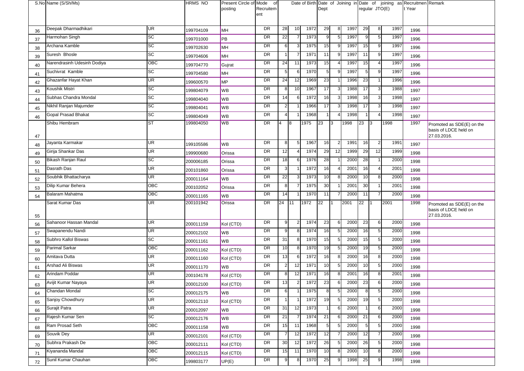|    | S.No Name (S/Sh/Ms)         |                 | HRMS NO   | Present Circle of Mode<br>posting | of<br>Recruitem |                 |                |      | Dept           |              |      |                 | regular JTO(E) |      | Date of Birth Date of Joining in Date of joining as Recruitmen Remark<br>t Year |                                                                   |
|----|-----------------------------|-----------------|-----------|-----------------------------------|-----------------|-----------------|----------------|------|----------------|--------------|------|-----------------|----------------|------|---------------------------------------------------------------------------------|-------------------------------------------------------------------|
|    |                             |                 |           |                                   | ent             |                 |                |      |                |              |      |                 |                |      |                                                                                 |                                                                   |
| 36 | Deepak Dharmadhikari        | <b>UR</b>       | 199704109 | MH                                | <b>DR</b>       | 28              | 10             | 1972 | 29             | 8            | 1997 | 29              | 8              | 1997 | 1996                                                                            |                                                                   |
| 37 | Harmohan Singh              | SC              | 199701000 | <b>PB</b>                         | DR              | 22              |                | 1973 | 9              | 5            | 1997 | 9               | 5              | 1997 | 1996                                                                            |                                                                   |
| 38 | Archana Kamble              | SC              | 199702630 | MH                                | <b>DR</b>       | 6 <sup>1</sup>  |                | 1975 | 15             |              | 1997 | 15              | 9              | 1997 | 1996                                                                            |                                                                   |
| 39 | Suresh Bhosle               | SC              | 199704606 | <b>MH</b>                         | DR              |                 |                | 1971 | 11             | <sub>9</sub> | 1997 | 11              | 9              | 1997 | 1996                                                                            |                                                                   |
| 40 | Narendrasinh Udesinh Dodiya | OBC             | 199704770 | Gujrat                            | <b>DR</b>       | 24              | 11             | 1973 | 15             |              | 1997 | 15              | 4              | 1997 | 1996                                                                            |                                                                   |
| 41 | Suchivrat Kamble            | $\overline{SC}$ | 199704580 | <b>MH</b>                         | DR              | 5 <sub>l</sub>  | 6              | 1970 | 5              |              | 1997 | 5               | 9              | 1997 | 1996                                                                            |                                                                   |
| 42 | Ghazanfar Hayat Khan        | UR              | 199600570 | MP                                | <b>DR</b>       | 24              | 12             | 1969 | 23             |              | 1996 | 23              |                | 1996 | 1996                                                                            |                                                                   |
| 43 | Koushik Mistri              | <b>SC</b>       | 199804079 | <b>WB</b>                         | DR              | 8               | 10             | 1967 | 17             |              | 1988 | 17              | 3              | 1988 | 1997                                                                            |                                                                   |
| 44 | Subhas Chandra Mondal       | SC              | 199804040 | <b>WB</b>                         | DR              | 14              | 6              | 1972 | 16             |              | 1998 | 16              | 3              | 1998 | 1997                                                                            |                                                                   |
| 45 | Nikhil Ranjan Majumder      | <b>SC</b>       | 199804041 | <b>WB</b>                         | <b>DR</b>       | $\mathbf{2}$    |                | 1966 | 17             |              | 1998 | 17              | 3              | 1998 | 1997                                                                            |                                                                   |
| 46 | <b>Gopal Prasad Bhakat</b>  | $\overline{SC}$ | 199804049 | <b>WB</b>                         | DR              | $\overline{4}$  |                | 1968 |                |              | 1998 | $\overline{1}$  |                | 1998 | 1997                                                                            |                                                                   |
|    | Shibu Hembram               | <b>ST</b>       | 199804050 | <b>WB</b>                         | <b>DR</b>       | 4               | 8              | 1975 | 23             | Iз           | 1998 | 23              | $\sqrt{3}$     | 1998 | 1997                                                                            | Promoted as SDE(E) on the                                         |
| 47 |                             |                 |           |                                   |                 |                 |                |      |                |              |      |                 |                |      |                                                                                 | basis of LDCE held on<br>27.03.2016.                              |
| 48 | Jayanta Karmakar            | UR              | 199105586 | <b>WB</b>                         | <b>DR</b>       | 8 <sup>1</sup>  | 5              | 1967 | 16             |              | 1991 | 16              | $\overline{2}$ | 1991 | 1997                                                                            |                                                                   |
| 49 | Girija Shankar Das          | UR              | 199900680 | Orissa                            | DR              | 12              |                | 1974 | 29             | 12           | 1999 | 29              | 12             | 1999 | 1998                                                                            |                                                                   |
| 50 | Bikash Ranjan Raul          | SC              | 200006185 | Orissa                            | DR              | 18              | 6              | 1976 | 28             |              | 2000 | 28              | 1              | 2000 | 1998                                                                            |                                                                   |
| 51 | Dasrath Das                 | <b>UR</b>       | 200101860 | Orissa                            | <b>DR</b>       | 3 <sup>l</sup>  |                | 1972 | 16             |              | 2001 | 16              | 4              | 2001 | 1998                                                                            |                                                                   |
| 52 | Soubhik Bhattacharya        | <b>UR</b>       | 200011164 | <b>WB</b>                         | <b>DR</b>       | 22              |                | 1973 | 10             |              | 2000 | 10              | 8              | 2000 | 1998                                                                            |                                                                   |
| 53 | Dilip Kumar Behera          | OBC             | 200102052 | Orissa                            | DR              | 8               |                | 1975 | 30             |              | 2001 | 30              |                | 2001 | 1998                                                                            |                                                                   |
| 54 | Balaram Mahatma             | OBC             | 200011165 | <b>WB</b>                         | DR              | 14              |                | 1970 | 11             |              | 2000 | 11              | $\overline{7}$ | 2000 | 1998                                                                            |                                                                   |
| 55 | Sarat Kumar Das             | <b>UR</b>       | 200101942 | Orissa                            | DR              | 24              | 111            | 1972 | 22             | l 1          | 2001 | 22              | $\mathsf{I}$   | 2001 | 1998                                                                            | Promoted as SDE(E) on the<br>basis of LDCE held on<br>27.03.2016. |
| 56 | Sahanoor Hassan Mandal      | UR              | 200011159 | Kol (CTD)                         | DR              | 9               | $\overline{2}$ | 1974 | 23             | 6            | 2000 | 23              | 6              | 2000 | 1998                                                                            |                                                                   |
| 57 | Swapanendu Nandi            | UR              | 200012102 | <b>WB</b>                         | DR              | 9               | 8              | 1974 | 16             |              | 2000 | 16              | 5              | 2000 | 1998                                                                            |                                                                   |
| 58 | Subhro Kallol Biswas        | SC              | 200011161 | <b>WB</b>                         | DR              | 31              | 8              | 1970 | 15             |              | 2000 | 15              | 5              | 2000 | 1998                                                                            |                                                                   |
| 59 | <b>Parimal Sarkar</b>       | OBC             | 200011162 | Kol (CTD)                         | DR              | 10              | 8              | 1970 | 19             |              | 2000 | 19              | 5              | 2000 | 1998                                                                            |                                                                   |
| 60 | Amitava Dutta               | UR              | 200011160 | Kol (CTD)                         | DR              | 13              | 6              | 1972 | 16             |              | 2000 | 16              | 8              | 2000 | 1998                                                                            |                                                                   |
| 61 | Arshad Ali Biswas           | Œ               | 200011170 | <b>WB</b>                         | DR              | $\overline{2}$  | 12             | 1971 | 10             |              | 2000 | 10              | 5              | 2000 | 1998                                                                            |                                                                   |
| 62 | Arindam Poddar              | <b>UR</b>       | 200104178 | Kol (CTD)                         | DR              | 8               | 12             | 1971 | 16             |              | 2001 | 16              | 8              | 2001 | 1998                                                                            |                                                                   |
| 63 | Avijit Kumar Nayaya         | UR.             | 200012100 | Kol (CTD)                         | <b>DK</b>       | 13              | $\mathbf{z}$   | 1972 | 23             | 6            | 2000 | 23              | 6              | 2000 | 1998                                                                            |                                                                   |
| 64 | Chandan Mondal              | SC              | 200012175 | <b>WB</b>                         | <b>DR</b>       | 6               |                | 1975 | 8              | 5            | 2000 | 8 <sup>1</sup>  | 5              | 2000 | 1998                                                                            |                                                                   |
| 65 | Sanjoy Chowdhury            | UR              | 200012110 | Kol (CTD)                         | DR              | $1\vert$        |                | 1972 | 19             |              | 2000 | 19              | 5              | 2000 | 1998                                                                            |                                                                   |
| 66 | Surajit Patra               | UR              | 200012097 | <b>WB</b>                         | DR              | 31              | 12             | 1973 |                | 6            | 2000 | $\mathbf{1}$    | 6              | 2000 | 1998                                                                            |                                                                   |
| 67 | Rajesh Kumar Sen            | SC              | 200012176 | <b>WB</b>                         | DR              | 21              |                | 1974 | 21             | 6            | 2000 | 21              | 6              | 2000 | 1998                                                                            |                                                                   |
| 68 | Ram Prosad Seth             | OBC             | 200011158 | <b>WB</b>                         | DR              | 15              | 11             | 1968 | 5 <sub>5</sub> |              | 2000 | $5\overline{a}$ | 5              | 2000 | 1998                                                                            |                                                                   |
| 69 | Souvik Dey                  | UR              | 200012101 | Kol (CTD)                         | DR              | $\overline{7}$  | 12             | 1972 | 12             |              | 2000 | 12              | $\overline{7}$ | 2000 | 1998                                                                            |                                                                   |
| 70 | Subhra Prakash De           | OBC             | 200012111 | Kol (CTD)                         | DR              | 30 <sup>l</sup> | 12             | 1972 | 26             | 5            | 2000 | 26              | 5              | 2000 | 1998                                                                            |                                                                   |
| 71 | Kiyananda Mandal            | OBC             | 200012115 | Kol (CTD)                         | DR              | 15              | 11             | 1970 | 10             | 8            | 2000 | 10              | 8              | 2000 | 1998                                                                            |                                                                   |
| 72 | Sunil Kumar Chauhan         | OBC             | 199803177 | UP(E)                             | DR              | 9               |                | 1970 | 25             |              | 1998 | 25              | 9              | 1998 | 1998                                                                            |                                                                   |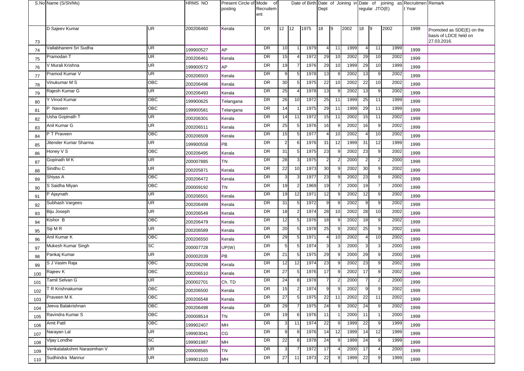|     | S.No Name (S/Sh/Ms)         |           | <b>HRMS NO</b> | Present Circle of Mode<br>posting | of<br>Recruitem<br>ent |                 |    |      | Dept           |                |      |                | regular JTO(E) |      | Date of Birth Date of Joining in Date of joining as Recruitmen Remark<br>t Year |                                                                   |
|-----|-----------------------------|-----------|----------------|-----------------------------------|------------------------|-----------------|----|------|----------------|----------------|------|----------------|----------------|------|---------------------------------------------------------------------------------|-------------------------------------------------------------------|
| 73  | D Sajeev Kumar              | <b>UR</b> | 200206460      | Kerala                            | <b>DR</b>              | $12 \mid 12$    |    | 1975 | 18             | 19             | 2002 | 18             | $\vert$ 9      | 2002 | 1999                                                                            | Promoted as SDE(E) on the<br>basis of LDCE held on<br>27.03.2016. |
| 74  | Vallabhaneni Sri Sudha      | UR        | 199900527      | <b>AP</b>                         | DR                     | 10              |    | 1979 | 4              | 11             | 1999 | 4              | 11             | 1999 | 1999                                                                            |                                                                   |
| 75  | Pramodan T                  | <b>UR</b> | 200206461      | Kerala                            | DR                     | 15              |    | 1972 | 29             | 10             | 2002 | 29             | 10             | 2002 | 1999                                                                            |                                                                   |
| 76  | V Murali Krishna            | UR        | 199900572      | <b>AP</b>                         | DR                     | 19              |    | 1976 | 29             | 10             | 1999 | 29             | 10             | 1999 | 1999                                                                            |                                                                   |
| 77  | Pramod Kumar V              | <b>UR</b> | 200206503      | Kerala                            | DR                     | 9 <sub>l</sub>  |    | 1978 | 13             |                | 2002 | 13             | 9              | 2002 | 1999                                                                            |                                                                   |
| 78  | Vinukumar M S               | OBC       | 200206496      | Kerala                            | DR                     | 30              | 5  | 1975 | 22             | 10             | 2002 | 22             | 10             | 2002 | 1999                                                                            |                                                                   |
| 79  | Rajesh Kumar G              | <b>UR</b> | 200206493      | Kerala                            | DR                     | 25              |    | 1978 | 13             | .c             | 2002 | 13             | 9              | 2002 | 1999                                                                            |                                                                   |
| 80  | Y Vinod Kumar               | OBC       | 199900625      | Telangana                         | DR                     | 26              | 10 | 1972 | 25             | 11             | 1999 | 25             | 11             | 1999 | 1999                                                                            |                                                                   |
| 81  | P Naveen                    | OBC       | 199900581      | Telangana                         | DR                     | 14              |    | 1975 | 29             | 11             | 1999 | 29             | 11             | 1999 | 1999                                                                            |                                                                   |
| 82  | Usha Gopinath T             | UR        | 200206301      | Kerala                            | DR                     | 14              | 11 | 1972 | 15             | 11             | 2002 | 15             | 11             | 2002 | 1999                                                                            |                                                                   |
| 83  | Anil Kumar G                | <b>UR</b> | 200206511      | Kerala                            | DR                     | 25              |    | 1976 | 16             | c              | 2002 | 16             | 9              | 2002 | 1999                                                                            |                                                                   |
| 84  | P T Praveen                 | OBC       | 200206509      | Kerala                            | DR                     | 15              | 5  | 1977 | 4              | 10             | 2002 | $\overline{4}$ | 10             | 2002 | 1999                                                                            |                                                                   |
| 85  | Jitender Kumar Sharma       | UR        | 199900558      | PB                                | DR                     | 2 <sub>l</sub>  | 6  | 1976 | 31             | 12             | 1999 | 31             | 12             | 1999 | 1999                                                                            |                                                                   |
| 86  | Honey V S                   | OBC       | 200206495      | Kerala                            | DR                     | 31              | 5  | 1975 | 23             |                | 2002 | 23             | 9              | 2002 | 1999                                                                            |                                                                   |
| 87  | Gopinath MK                 | UR        | 200007885      | TN                                | DR                     | 28              |    | 1975 | 2 <sub>l</sub> |                | 2000 | $\overline{2}$ | $\overline{2}$ | 2000 | 1999                                                                            |                                                                   |
| 88  | Sindhu <sub>C</sub>         | UR        | 200205871      | Kerala                            | DR                     | 22              | 10 | 1973 | 30             |                | 2002 | 30             | 9              | 2002 | 1999                                                                            |                                                                   |
| 89  | Shiyas A                    | OBC       | 200206472      | Kerala                            | DR                     | 3 <sub>l</sub>  |    | 1977 | 23             |                | 2002 | 23             | 9              | 2002 | 1999                                                                            |                                                                   |
| 90  | S Saidha Miyan              | OBC       | 200009192      | <b>TN</b>                         | DR                     | 19              |    | 1969 | 19             |                | 2000 | 19             | $\overline{7}$ | 2000 | 1999                                                                            |                                                                   |
| 91  | P Ajaynath                  | UR        | 200206501      | Kerala                            | DR                     | 19              | 12 | 1971 | 12             |                | 2002 | 12             | 9              | 2002 | 1999                                                                            |                                                                   |
| 92  | Subhash Vargees             | UR        | 200206499      | Kerala                            | DR                     | 31              |    | 1972 | 9              |                | 2002 | 9              | 9              | 2002 | 1999                                                                            |                                                                   |
| 93  | Biju Joseph                 | <b>UR</b> | 200206549      | Kerala                            | DR                     | 18              |    | 1974 | 28             | 10             | 2002 | 28             | 10             | 2002 | 1999                                                                            |                                                                   |
| 94  | Kishor B                    | OBC       | 200206479      | Kerala                            | DR                     | 12              | 5  | 1976 | 18             |                | 2002 | 18             | 9              | 2002 | 1999                                                                            |                                                                   |
| 95  | Siji M R                    | UR        | 200206589      | Kerala                            | DR                     | 20              |    | 1978 | 25             |                | 2002 | 25             | 9              | 2002 | 1999                                                                            |                                                                   |
| 96  | Anil Kumar K                | OBC       | 200206550      | Kerala                            | DR                     | 29              | 5  | 1971 | $\overline{4}$ | 10             | 2002 | $\overline{4}$ | 10             | 2002 | 1999                                                                            |                                                                   |
| 97  | Mukesh Kumar Singh          | <b>SC</b> | 200007728      | UP(W)                             | DR                     | $5\overline{)}$ |    | 1974 | 3 <sub>l</sub> |                | 2000 | 3              | 3              | 2000 | 1999                                                                            |                                                                   |
| 98  | Pankaj Kumar                | UR        | 200002039      | PB                                | DR                     | 21              | 5  | 1975 | 29             |                | 2000 | 29             | 9              | 2000 | 1999                                                                            |                                                                   |
| 99  | S J Vasim Raja              | OBC       | 200206298      | Kerala                            | DR                     | 12              | 12 | 1974 | 23             |                | 2002 | 23             | 9              | 2002 | 1999                                                                            |                                                                   |
| 100 | Rajeev K                    | OBC       | 200206510      | Kerala                            | <b>DR</b>              | 27              |    | 1976 | 17             | 9              | 2002 | 17             | 9              | 2002 | 1999                                                                            |                                                                   |
| 101 | Tamil Selvan G              | UR        | 200002701      | Ch. TD                            | DR                     | 24              | 81 | 1978 | $\overline{7}$ | $\overline{2}$ | 2000 | $\overline{7}$ | $\overline{2}$ | 2000 | 1999                                                                            |                                                                   |
| 102 | TR Krishnakumar             | OBC       | 200206500      | Kerala                            | DR                     | 15              |    | 1974 | 9              | 9              | 2002 | 9              | 9              | 2002 | 1999                                                                            |                                                                   |
| 103 | Praveen M K                 | OBC       | 200206548      | Kerala                            | DR                     | 27              | 5  | 1975 | 22             | 11             | 2002 | 22             | 11             | 2002 | 1999                                                                            |                                                                   |
| 104 | Jeeva Balakrishnan          | OBC       | 200206498      | Kerala                            | DR                     | 29              |    | 1975 | 24             | <b>c</b>       | 2002 | 24             | 9              | 2002 | 1999                                                                            |                                                                   |
| 105 | Ravindra Kumar S            | OBC       | 200008514      | <b>TN</b>                         | DR                     | 19              | 6  | 1976 | 11             |                | 2000 | 11             |                | 2000 | 1999                                                                            |                                                                   |
| 106 | Amit Patil                  | OBC       | 199902407      | MH                                | DR                     | 3               | 11 | 1974 | 22             | 9              | 1999 | 22             | 9              | 1999 | 1999                                                                            |                                                                   |
| 107 | Narayan Lal                 | UR        | 199903041      | <b>CG</b>                         | DR                     | 9               | 8  | 1976 | 14             | 12             | 1999 | 14             | 12             | 1999 | 1999                                                                            |                                                                   |
| 108 | Vijay Londhe                | <b>SC</b> | 199901987      | MH                                | DR                     | 22              | 8  | 1978 | 24             |                | 1999 | 24             | 9              | 1999 | 1999                                                                            |                                                                   |
| 109 | Venkatalakshmi Narasimhan V | <b>UR</b> | 200008565      | <b>TN</b>                         | DR                     | 3 <sub>l</sub>  |    | 1972 | 17             |                | 2000 | 17             | $\overline{4}$ | 2000 | 1999                                                                            |                                                                   |
| 110 | Sudhindra Mannur            | UR        | 199901620      | MH                                | DR                     | 27              | 11 | 1973 | 22             | 9              | 1999 | 22             | 9              | 1999 | 1999                                                                            |                                                                   |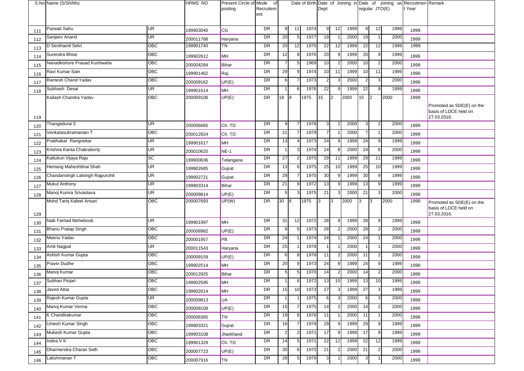|     | S.No Name (S/Sh/Ms)              |           | <b>HRMS NO</b> | Present Circle of Mode<br>posting | 0f<br>Recruitem<br>ent |                |                |      | Dept             |    |      | regular JTO(E)  |                |      | Date of Birth Date of Joining in Date of joining as Recruitmen Remark<br>t Year |                                                                   |
|-----|----------------------------------|-----------|----------------|-----------------------------------|------------------------|----------------|----------------|------|------------------|----|------|-----------------|----------------|------|---------------------------------------------------------------------------------|-------------------------------------------------------------------|
|     |                                  |           |                |                                   |                        |                |                |      |                  |    |      |                 |                |      |                                                                                 |                                                                   |
| 111 | Parwati Sahu                     | <b>UR</b> | 199903040      | CG                                | DR                     | 9 <sub>l</sub> | 11             | 1974 | 9 <sub>l</sub>   | 12 | 1999 | 9               | 12             | 1999 | 1999                                                                            |                                                                   |
| 112 | Sanjeev Anand                    | UR        | 200011788      | Haryana                           | DR                     | 20             | 5 <sub>5</sub> | 1977 | 19               |    | 2000 | 19              | -1             | 2000 | 1999                                                                            |                                                                   |
| 113 | D Senthamil Selvi                | OBC       | 199901740      | ΤN                                | DR                     | 20             | 12             | 1970 | 22               | 12 | 1999 | 22              | 12             | 1999 | 1999                                                                            |                                                                   |
| 114 | Surendra Bhise                   | OBC       | 199902612      | MH                                | DR                     | 12             | 8              | 1976 | 20               | -9 | 1999 | 20              | 9              | 1999 | 1999                                                                            |                                                                   |
| 115 | Nanadkishore Prasad Kushwaha     | OBC       | 200004284      | Bihar                             | DR                     | $\overline{7}$ | 5              | 1969 | 10               |    | 2000 | 10              | $\overline{2}$ | 2000 | 1999                                                                            |                                                                   |
| 116 | Ravi Kumar Sain                  | OBC       | 199901462      | Raj.                              | DR                     | 29             | q              | 1974 | 10               | 11 | 1999 | 10              | 11             | 1999 | 1999                                                                            |                                                                   |
| 117 | Ramesh Chand Yadav               | OBC       | 200009162      | UP(E)                             | DR                     | 6              |                | 1973 | $\mathbf{2}$     |    | 2000 | $\overline{2}$  | 3              | 2000 | 1999                                                                            |                                                                   |
| 118 | Subhash Desai                    | UR        | 199901614      | MH                                | DR                     | $\mathbf{1}$   | 6              | 1976 | 22               |    | 1999 | 22              | 9              | 1999 | 1999                                                                            |                                                                   |
|     | Kailash Chandra Yadav            | OBC       | 200009106      | UP(E)                             | DR                     | $18 \quad 8$   |                | 1975 | 15 <sup>15</sup> | 2  | 2000 | 15              | $\mathsf{I}2$  | 2000 | 1999                                                                            |                                                                   |
| 119 |                                  |           |                |                                   |                        |                |                |      |                  |    |      |                 |                |      |                                                                                 | Promoted as SDE(E) on the<br>basis of LDCE held on<br>27.03.2016. |
| 120 | Thangadurai S                    | UR        | 200006665      | Ch. TD                            | DR                     | 9 <sup>1</sup> |                | 1978 | 3 <sup>l</sup>   |    | 2000 | 3               | $\overline{2}$ | 2000 | 1999                                                                            |                                                                   |
| 121 | Venkatasubramanian T             | OBC       | 200012824      | Ch. TD                            | DR                     | 21             |                | 1979 | $\overline{7}$   |    | 2000 | $\overline{7}$  | -1             | 2000 | 1999                                                                            |                                                                   |
| 122 | Prabhakar Rangnekar              | UR        | 199901617      | MH                                | DR                     | 13             |                | 1973 | 24               |    | 1999 | 24              | 9              | 1999 | 1999                                                                            |                                                                   |
| 123 | Krishna Kanta Chakraborty        | UR        | 200010620      | NE-1                              | DR                     | $\overline{1}$ |                | 1974 | 24               |    | 2000 | 24              | 8              | 2000 | 1999                                                                            |                                                                   |
| 124 | Kattukuri Vijaya Raju            | <b>SC</b> | 199900636      | Telangana                         | DR                     | 27             |                | 1975 | 29               | 11 | 1999 | 29              | 11             | 1999 | 1999                                                                            |                                                                   |
| 125 | Hemang Maheshbhai Shah           | <b>UR</b> | 199902685      | Gujrat                            | DR                     | 13             | 6              | 1975 | 25               | 10 | 1999 | 25              | 10             | 1999 | 1999                                                                            |                                                                   |
| 126 | Chandansingh Lalsingh Rajpurohit | UR        | 199902721      | Gujrat                            | DR                     | 29             |                | 1975 | 30               |    | 1999 | 30              | 9              | 1999 | 1999                                                                            |                                                                   |
| 127 | <b>Mukul Anthony</b>             | UR        | 199903314      | Bihar                             | DR                     | 21             |                | 1972 | 13               |    | 1999 | 13              | 9              | 1999 | 1999                                                                            |                                                                   |
| 128 | Manoj Kumra Srivastava           | UR        | 200009814      | UP(E)                             | DR                     | 5              | 3              | 1975 | 21               |    | 2000 | 21              | $\mathbf{3}$   | 2000 | 1999                                                                            |                                                                   |
| 129 | Mohd Tariq Kafeel Ansari         | OBC       | 200007693      | UP(W)                             | DR                     | 30             | $\sqrt{6}$     | 1975 | 3                | 3  | 2000 | 3               | 3              | 2000 | 1999                                                                            | Promoted as SDE(E) on the<br>basis of LDCE held on<br>27.03.2016. |
| 130 | Naik Farhad Meheboob             | UR        | 199901997      | MH                                | DR                     | 31             | 12             | 1972 | 28               | 9  | 1999 | 28              | 9              | 1999 | 1999                                                                            |                                                                   |
| 131 | Bhanu Pratap Singh               | OBC       | 200008982      | UP(E)                             | DR                     | 9 <sub>l</sub> | 5              | 1973 | 28               |    | 2000 | 28              | $\overline{2}$ | 2000 | 1999                                                                            |                                                                   |
| 132 | Meenu Yadav                      | OBC       | 200001957      | PB                                | DR                     | 24             |                | 1974 | 24               |    | 2000 | 24              |                | 2000 | 1999                                                                            |                                                                   |
| 133 | Amit Nagpal                      | UR        | 200011543      | Haryana                           | DR                     | 25             |                | 1978 |                  |    | 2000 |                 |                | 2000 | 1999                                                                            |                                                                   |
| 134 | Ashish Kumar Gupta               | OBC       | 200009159      | UP(E)                             | DR                     | 6I             |                | 1978 | 11               |    | 2000 | 11              | $\overline{2}$ | 2000 | 1999                                                                            |                                                                   |
| 135 | Pravin Dudhe                     | OBC       | 199902514      | MH                                | DR                     | 20             | 9              | 1973 | 24               | -9 | 1999 | 24              | 9              | 1999 | 1999                                                                            |                                                                   |
| 136 | Manoj Kumar                      | ОВС       | 200012925      | Bihar                             | DR                     | 5 <sub>1</sub> | 5              | 1970 | 14               |    | 2000 | 14              | $\overline{2}$ | 2000 | 1999                                                                            |                                                                   |
| 137 | Subhan Pinjari                   | OBC       | 199902595      | IMH                               | DR                     | 11             | $6 \square$    | 1972 | 13               | 10 | 1999 | 13 <sup>1</sup> | 10             | 1999 | 1999                                                                            |                                                                   |
| 138 | Javed Attar                      | OBC       | 199902614      | <b>MH</b>                         | DR                     | 15             | 10             | 1973 | 27               | 3  | 1999 | 27              | $\mathbf{3}$   | 1999 | 1999                                                                            |                                                                   |
| 139 | Rajesh Kumar Gupta               | UR        | 200009813      | UA                                | DR                     | $\overline{1}$ |                | 1975 | 6                |    | 2000 | 6               | 3              | 2000 | 1999                                                                            |                                                                   |
| 140 | Manoj Kumar Verma                | OBC       | 200009108      | UP(E)                             | DR                     | 15             |                | 1975 | 14               |    | 2000 | 14              | $\overline{2}$ | 2000 | 1999                                                                            |                                                                   |
| 141 | K Chandirakumar                  | OBC       | 200008365      | <b>TN</b>                         | DR                     | 19             | 6              | 1976 | 11               |    | 2000 | 11              |                | 2000 | 1999                                                                            |                                                                   |
| 142 | Umesh Kumar Singh                | OBC       | 199903321      | Gujrat                            | DR                     | 16             |                | 1978 | 29               | g  | 1999 | 29              | 9              | 1999 | 1999                                                                            |                                                                   |
| 143 | Mukesh Kumar Gupta               | OBC       | 199903108      | Jharkhand                         | DR                     | 2 <sub>1</sub> |                | 1971 | 17               |    | 1999 | 17              | 9              | 1999 | 1999                                                                            |                                                                   |
| 144 | Indira V K                       | OBC       | 199901329      | Ch. TD                            | DR                     | 14             | 5              | 1971 | 22               | 12 | 1999 | 22              | 12             | 1999 | 1999                                                                            |                                                                   |
| 145 | Dharmendra Charan Seth           | OBC       | 200007723      | UP(E)                             | DR                     | 30             | 6              | 1975 | 21               | -2 | 2000 | 21              | $\overline{2}$ | 2000 | 1999                                                                            |                                                                   |
|     |                                  | OBC       |                |                                   | DR                     |                |                |      |                  |    |      |                 |                |      |                                                                                 |                                                                   |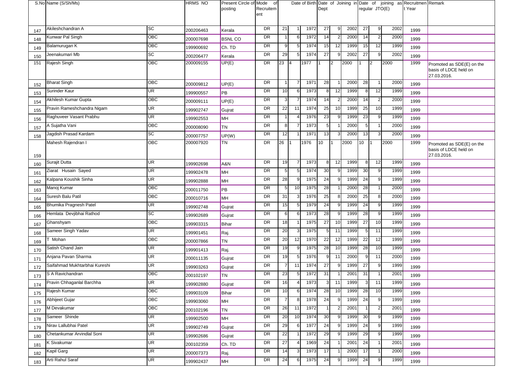|            | S.No Name (S/Sh/Ms)           |                          | <b>HRMS NO</b>         | Present Circle of Mode<br>posting | of<br>Recruitem<br>ent |                 |                 |      | Dept           |              |      |                | regular JTO(E)          |      | Date of Birth Date of Joining in Date of joining as Recruitmen Remark<br>t Year |                                                                   |
|------------|-------------------------------|--------------------------|------------------------|-----------------------------------|------------------------|-----------------|-----------------|------|----------------|--------------|------|----------------|-------------------------|------|---------------------------------------------------------------------------------|-------------------------------------------------------------------|
|            | Akileshchandran A             | <b>SC</b>                | 200206463              |                                   | <b>DR</b>              | 21              |                 | 1972 | 27             | <b>c</b>     | 2002 | 27             | 9                       | 2002 |                                                                                 |                                                                   |
| 147        | Kunwar Pal Singh              | OBC                      |                        | Kerala                            | DR                     | $\overline{1}$  | 6               | 1972 | 14             | 2            | 2000 | 14             | $\overline{2}$          | 2000 | 1999                                                                            |                                                                   |
| 148        | Balamurugan K                 | OBC                      | 200007698              | <b>BSNL CO</b>                    | DR                     | 9               | 5               | 1974 | 15             | 12           | 1999 | 15             | 12                      | 1999 | 1999                                                                            |                                                                   |
| 149        | Jeenakumari Mb                | SC                       | 199900692              | Ch. TD                            | DR                     | 29              | 5 <sub>l</sub>  | 1974 | 27             | 9            | 2002 | 27             | 9                       | 2002 | 1999                                                                            |                                                                   |
| 150<br>151 | Rajesh Singh                  | OBC                      | 200206477<br>200009155 | Kerala<br>UP(E)                   | <b>DR</b>              | 23              | $\overline{14}$ | 1977 |                | 2            | 2000 |                | $\overline{2}$          | 2000 | 1999<br>1999                                                                    |                                                                   |
|            |                               |                          |                        |                                   |                        |                 |                 |      |                |              |      |                |                         |      |                                                                                 | Promoted as SDE(E) on the<br>basis of LDCE held on<br>27.03.2016. |
| 152        | <b>Bharat Singh</b>           | OBC                      | 200009812              | UP(E)                             | <b>DR</b>              | $\mathbf{1}$    | $\overline{7}$  | 1971 | 28             |              | 2000 | 28             | $\overline{1}$          | 2000 | 1999                                                                            |                                                                   |
| 153        | Surinder Kaur                 | <b>UR</b>                | 199900557              | PB                                | DR                     | 10              | 6               | 1973 | 8              | 12           | 1999 | 8              | 12                      | 1999 | 1999                                                                            |                                                                   |
| 154        | Akhilesh Kumar Gupta          | OBC                      | 200009111              | UP(E)                             | DR                     | 3               |                 | 1974 | 14             | -2           | 2000 | 14             | 2                       | 2000 | 1999                                                                            |                                                                   |
| 155        | Pravin Rameshchandra Nigam    | UR                       | 199902747              | Gujrat                            | DR                     | 22              | 11              | 1974 | 25             | 10           | 1999 | 25             | 10                      | 1999 | 1999                                                                            |                                                                   |
| 156        | Raghuveer Vasant Prabhu       | $\overline{\mathsf{UR}}$ | 199902553              | MH                                | DR                     | $\mathbf 1$     | 4               | 1976 | 23             |              | 1999 | 23             | 9                       | 1999 | 1999                                                                            |                                                                   |
| 157        | A Sujatha Vani                | OBC                      | 200008090              | TN                                | DR                     | 8               | $\overline{7}$  | 1973 | $\overline{5}$ |              | 2000 | 5 <sub>l</sub> | $\mathbf 1$             | 2000 | 1999                                                                            |                                                                   |
| 158        | Jagdish Prasad Kardam         | SC                       | 200007757              | UP(W)                             | <b>DR</b>              | 12              |                 | 1971 | 13             | 3            | 2000 | 13             | 3                       | 2000 | 1999                                                                            |                                                                   |
| 159        | Mahesh Rajendran I            | OBC                      | 200007920              | TN                                | DR                     | 26              |                 | 1976 | 10             |              | 2000 | 10             |                         | 2000 | 1999                                                                            | Promoted as SDE(E) on the<br>basis of LDCE held on<br>27.03.2016. |
| 160        | Surajit Dutta                 | UR                       | 199902698              | A&N                               | <b>DR</b>              | 19              | $\overline{7}$  | 1973 | 8 <sup>1</sup> | 12           | 1999 | 8              | 12                      | 1999 | 1999                                                                            |                                                                   |
| 161        | Ziarat Husain Sayed           | UR                       | 199902478              | MH                                | DR                     | 5               | 5               | 1974 | 30             | c            | 1999 | 30             | 9                       | 1999 | 1999                                                                            |                                                                   |
| 162        | Kalpana Koushik Sinha         | UR                       | 199902888              | MH                                | DR                     | 28              | 9               | 1975 | 24             | -9           | 1999 | 24             | 9                       | 1999 | 1999                                                                            |                                                                   |
| 163        | Manoj Kumar                   | OBC                      | 200011750              | PB                                | DR                     | 5               | 10              | 1975 | 28             |              | 2000 | 28             |                         | 2000 | 1999                                                                            |                                                                   |
| 164        | Suresh Balu Patil             | OBC                      | 200010716              | MH                                | DR                     | 31              | 3               | 1976 | 25             | 8            | 2000 | 25             | 8                       | 2000 | 1999                                                                            |                                                                   |
| 165        | Bhumika Pragnesh Patel        | UR                       | 199902748              | Gujrat                            | <b>DR</b>              | 15              | 5               | 1979 | 24             | 9            | 1999 | 24             | 9                       | 1999 | 1999                                                                            |                                                                   |
| 166        | Hemlata Devjibhai Rathod      | SC                       | 199902689              | Gujrat                            | DR                     | 6               | 6               | 1973 | 28             | <b>c</b>     | 1999 | 28             | 9                       | 1999 | 1999                                                                            |                                                                   |
| 167        | Ghanshyam                     | OBC                      | 199903315              | Bihar                             | DR                     | 18              |                 | 1975 | 27             | 10           | 1999 | 27             | 10                      | 1999 | 1999                                                                            |                                                                   |
| 168        | Sameer Singh Yadav            | UR                       | 199901451              | Raj.                              | DR                     | 20              | 3               | 1975 |                | 11           | 1999 | 5              | 11                      | 1999 | 1999                                                                            |                                                                   |
| 169        | Mohan                         | OBC                      | 200007866              | TN                                | DR                     | 20              | 12              | 1970 | 22             | 12           | 1999 | 22             | 12                      | 1999 | 1999                                                                            |                                                                   |
| 170        | Satish Chand Jain             | UR                       | 199901413              | Raj.                              | DR                     | 19              | 9               | 1975 | 28             | 10           | 1999 | 28             | 10                      | 1999 | 1999                                                                            |                                                                   |
| 171        | Anjana Pavan Sharma           | UR                       | 200011135              | Gujrat                            | DR                     | 19              | 5               | 1976 | a              | 11           | 2000 | 9              | 11                      | 2000 | 1999                                                                            |                                                                   |
| 172        | Saifahmad Mukhtarbhai Kureshi | UR                       | 199903263              | Gujrat                            | DR                     | $\overline{7}$  | 11              | 1974 | 27             | -9           | 1999 | 27             | 9                       | 1999 | 1999                                                                            |                                                                   |
| 173        | S A Ravichandran              | OBC                      | 200102197              | <b>TN</b>                         | DR                     | 23              | 5               | 1972 | 31             |              | 2001 | 31             |                         | 2001 | 1999                                                                            |                                                                   |
| 174        | Pravin Chhaganlal Barchha     | UR                       | 199902880              | Gujrat                            | <b>DR</b>              | 16              | 4               | 1973 | 3              | 11           | 1999 | J              | 11                      | 1999 | 1999                                                                            |                                                                   |
| 175        | Rajesh Kumar                  | $\overline{OBC}$         | 199903109              | Bihar                             | <b>DR</b>              | 10 <sup>1</sup> | 6               | 1974 | 28             | 10           | 1999 | 28             | 10                      | 1999 | 1999                                                                            |                                                                   |
| 176        | Abhijeet Gujar                | OBC                      | 199903060              | MH                                | DR                     | $\overline{7}$  | 8               | 1978 | 24             | <b>c</b>     | 1999 | 24             | 9                       | 1999 | 1999                                                                            |                                                                   |
| 177        | M Devakumar                   | OBC                      | 200102196              | <b>TN</b>                         | DR                     | 26              | 11              | 1972 |                | 2            | 2001 | 1              | $\overline{\mathbf{c}}$ | 2001 | 1999                                                                            |                                                                   |
| 178        | Sameer Shinde                 | UR                       | 199902500              | MH                                | DR                     | 20              | 10              | 1974 | 30             | $\mathbf{Q}$ | 1999 | 30             | 9                       | 1999 | 1999                                                                            |                                                                   |
| 179        | Nirav Lallubhai Patel         | UR                       | 199902749              | Gujrat                            | DR                     | 29              | 6               | 1977 | 24             | ʻö,          | 1999 | 24             | 9                       | 1999 | 1999                                                                            |                                                                   |
| 180        | Chetankumar Arvindlal Soni    | UR                       | 199902686              | Gujrat                            | DR                     | 22              |                 | 1972 | 29             | -9           | 1999 | 29             | 9                       | 1999 | 1999                                                                            |                                                                   |
| 181        | K Sivakumar                   | UR                       | 200102359              | Ch. TD                            | DR                     | 27              | 4               | 1969 | 24             |              | 2001 | 24             |                         | 2001 | 1999                                                                            |                                                                   |
| 182        | Kapil Garg                    | UR                       | 200007373              | Raj.                              | DR                     | 14              | 3               | 1973 | 17             |              | 2000 | 17             | -1                      | 2000 | 1999                                                                            |                                                                   |
| 183        | Arti Rahul Saraf              | UR                       | 199902437              | MH                                | DR                     | 24              | 6               | 1975 | 24             |              | 1999 | 24             | 9                       | 1999 | 1999                                                                            |                                                                   |
|            |                               |                          |                        |                                   |                        |                 |                 |      |                |              |      |                |                         |      |                                                                                 |                                                                   |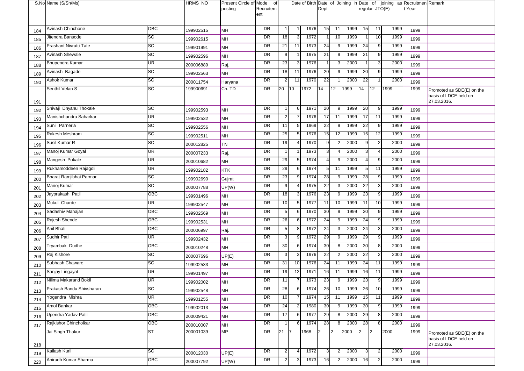|     | S.No Name (S/Sh/Ms)      |                          | <b>HRMS NO</b> | Present Circle of Mode<br>posting | of<br>Recruitem<br>ent |                |                |      | Dept            |          |      |                | regular JTO(E) |      | Date of Birth Date of Joining in Date of joining as Recruitmen Remark<br>t Year |                                                                   |
|-----|--------------------------|--------------------------|----------------|-----------------------------------|------------------------|----------------|----------------|------|-----------------|----------|------|----------------|----------------|------|---------------------------------------------------------------------------------|-------------------------------------------------------------------|
| 184 | Avinash Chinchone        | OBC                      | 199902515      | MН                                | <b>DR</b>              |                |                | 1976 | 15              | 11       | 1999 | 15             | 11             | 1999 | 1999                                                                            |                                                                   |
| 185 | Jitendra Bansode         | $\overline{SC}$          | 199902615      | MH                                | DR                     | 18             | 3              | 1972 |                 | 10       | 1999 |                | 10             | 1999 | 1999                                                                            |                                                                   |
| 186 | Prashant Nivrutti Tate   | $\overline{SC}$          | 199901991      | MH                                | DR                     | 21             | 11             | 1973 | 24              | <b>c</b> | 1999 | 24             | 9              | 1999 | 1999                                                                            |                                                                   |
| 187 | Avinash Shewale          | <b>SC</b>                | 199902596      | MН                                | DR                     | 9              |                | 1975 | 21              | -9       | 1999 | 21             | 9              | 1999 | 1999                                                                            |                                                                   |
| 188 | Bhupendra Kumar          | UR                       | 200006889      | Raj.                              | <b>DR</b>              | 23             | 3              | 1976 |                 | 3        | 2000 | $\overline{1}$ | 3              | 2000 | 1999                                                                            |                                                                   |
| 189 | Avinash Bagade           | $\overline{SC}$          | 199902563      | MH                                | DR                     | 18             | 11             | 1976 | 20              | <b>c</b> | 1999 | 20             | 9              | 1999 | 1999                                                                            |                                                                   |
| 190 | Ashok Kumar              | SC                       | 200011754      | Haryana                           | DR                     | $\mathbf{2}$   | 11             | 1970 | 22              |          | 2000 | 22             |                | 2000 | 1999                                                                            |                                                                   |
| 191 | Senthil Velan S          | SC                       | 199900691      | Ch. TD                            | DR                     | 20             | 10             | 1972 | 14              | 12       | 1999 | 14             | $ 12\rangle$   | 1999 | 1999                                                                            | Promoted as SDE(E) on the<br>basis of LDCE held on<br>27.03.2016. |
| 192 | Shivaji Dnyanu Thokale   | SC                       | 199902593      | MH                                | DR                     | $\mathbf{1}$   | 6              | 1971 | $\overline{20}$ | 9        | 1999 | 20             | 9              | 1999 | 1999                                                                            |                                                                   |
| 193 | Manishchandra Saharkar   | $\overline{\mathsf{UR}}$ | 199902532      | MH                                | DR                     | $\overline{2}$ |                | 1976 | 17              | 11       | 1999 | 17             | 11             | 1999 | 1999                                                                            |                                                                   |
| 194 | Sunil Parneria           | <b>SC</b>                | 199902556      | MН                                | DR                     | 11             | 5 <sub>l</sub> | 1969 | 22              | -9       | 1999 | 22             | 9              | 1999 | 1999                                                                            |                                                                   |
| 195 | Rakesh Meshram           | $\overline{SC}$          | 199902511      | MН                                | <b>DR</b>              | 25             | 5              | 1976 | 15              | 12       | 1999 | 15             | 12             | 1999 | 1999                                                                            |                                                                   |
| 196 | Susil Kumar R            | $\overline{SC}$          | 200012825      | TN                                | DR                     | 19             |                | 1970 | q               |          | 2000 | 9              |                | 2000 | 1999                                                                            |                                                                   |
| 197 | Manoj Kumar Goyal        | UR                       | 200007233      | Raj.                              | DR                     |                |                | 1973 |                 |          | 2000 | $3 \,$         |                | 2000 | 1999                                                                            |                                                                   |
| 198 | Mangesh Pokale           | UR                       | 200010682      | MH                                | DR                     | 29             | 5              | 1974 |                 | ʻö,      | 2000 | $\overline{4}$ | 9              | 2000 | 1999                                                                            |                                                                   |
| 199 | Rukhamoddeen Rajagoli    | UR                       | 199902182      | <b>KTK</b>                        | DR                     | 29             | 6              | 1974 | $\overline{5}$  | 11       | 1999 | 5 <sub>l</sub> | 11             | 1999 | 1999                                                                            |                                                                   |
| 200 | Bharat Ramjibhai Parmar  | SC                       | 199902690      | Gujrat                            | DR                     | 23             | 9              | 1974 | 28              | - c      | 1999 | 28             | 9              | 1999 | 1999                                                                            |                                                                   |
| 201 | Manoj Kumar              | SC                       | 200007788      | UP(W)                             | DR                     | 9              |                | 1975 | 22              |          | 2000 | 22             | 3              | 2000 | 1999                                                                            |                                                                   |
| 202 | Jayprakash Patil         | OBC                      | 199901496      | MH                                | DR                     | 18             | 3              | 1976 | 23              | -9       | 1999 | 23             | 9              | 1999 | 1999                                                                            |                                                                   |
| 203 | Mukul Charde             | UR                       | 199902547      | MH                                | DR                     | 10             | 5              | 1977 | 11              | 10       | 1999 | 11             | 10             | 1999 | 1999                                                                            |                                                                   |
| 204 | Sadashiv Mahajan         | OBC                      | 199902569      | MH                                | DR                     | 5              | 6              | 1970 | 30              | 9        | 1999 | 30             | 9              | 1999 | 1999                                                                            |                                                                   |
| 205 | Rajesh Shende            | OBC                      | 199902531      | MH                                | DR                     | 26             | 6              | 1972 | 24              | 9        | 1999 | 24             | 9              | 1999 | 1999                                                                            |                                                                   |
| 206 | Anil Bhati               | OBC                      | 200006997      | Raj.                              | DR                     | 5              | 8              | 1972 | 24              |          | 2000 | 24             | 3              | 2000 | 1999                                                                            |                                                                   |
| 207 | Sudhir Patil             | UR <sup>1</sup>          | 199902432      | MH                                | DR                     | 3              | 9              | 1972 | 29              | -9       | 1999 | 29             | 9              | 1999 | 1999                                                                            |                                                                   |
| 208 | Tryambak Dudhe           | ОВС                      | 200010248      | MH                                | DR                     | 30             | 6              | 1974 | 30              | Я        | 2000 | 30             | 8              | 2000 | 1999                                                                            |                                                                   |
| 209 | Raj Kishore              | SC                       | 200007696      | UP(E)                             | DR                     | $\mathbf{3}$   | 3              | 1976 | 22              |          | 2000 | 22             | $\overline{2}$ | 2000 | 1999                                                                            |                                                                   |
| 210 | Subhash Chaware          | SC                       | 199902533      | MН                                | DR                     | 31             | 10             | 1976 | 24              | 11       | 1999 | 24             | 11             | 1999 | 1999                                                                            |                                                                   |
| 211 | Sanjay Lingayat          | UR                       | 199901497      | MH                                | DR                     | 19             | 12             | 1971 | 16              | 11       | 1999 | 16             | 11             | 1999 | 1999                                                                            |                                                                   |
| 212 | Nilima Makarand Bokil    | UR                       | 199902002      | MH                                | <b>DR</b>              | 11             | 7              | 1973 | 23              | 9        | 1999 | 23             | 9              | 1999 | 1999                                                                            |                                                                   |
| 213 | Prakash Bandu Shivsharan | $\overline{SC}$          | 199902548      | MH                                | <b>DR</b>              | 28             | 6              | 1974 | 26              | 10       | 1999 | 26             | 10             | 1999 | 1999                                                                            |                                                                   |
| 214 | Yogendra Mishra          | UR                       | 199901255      | MH                                | DR                     | 10             | 7              | 1974 | 15              | 11       | 1999 | 15             | 11             | 1999 | 1999                                                                            |                                                                   |
| 215 | Amol Bankar              | OBC                      | 199902013      | MH                                | DR                     | 24             | $\overline{2}$ | 1980 | 30              | 9        | 1999 | 30             | 9              | 1999 | 1999                                                                            |                                                                   |
| 216 | Upendra Yadav Patil      | OBC                      | 200009421      | MH                                | DR                     | 17             | 6              | 1977 | 29              |          | 2000 | 29             | 8              | 2000 | 1999                                                                            |                                                                   |
| 217 | Rajkishor Chincholkar    | OBC                      | 200010007      | MH                                | DR                     | $\overline{1}$ | 6              | 1974 | 28              | 8        | 2000 | 28             | 8              | 2000 | 1999                                                                            |                                                                   |
| 218 | Jai Singh Thakur         | ST                       | 200001039      | <b>MP</b>                         | DR                     | 21             |                | 1968 | 2               | 2        | 2000 | 2              | $\overline{2}$ | 2000 | 1999                                                                            | Promoted as SDE(E) on the<br>basis of LDCE held on<br>27.03.2016. |
| 219 | Kailash Kuril            | <b>SC</b>                | 200012030      | UP(E)                             | DR                     | $\overline{2}$ | $\overline{4}$ | 1972 |                 | 2        | 2000 | 3              | $\overline{2}$ | 2000 | 1999                                                                            |                                                                   |
| 220 | Anirudh Kumar Sharma     | OBC                      | 200007792      | UP(W)                             | DR                     |                | 3              | 1973 | 16              |          | 2000 | 16             |                | 2000 | 1999                                                                            |                                                                   |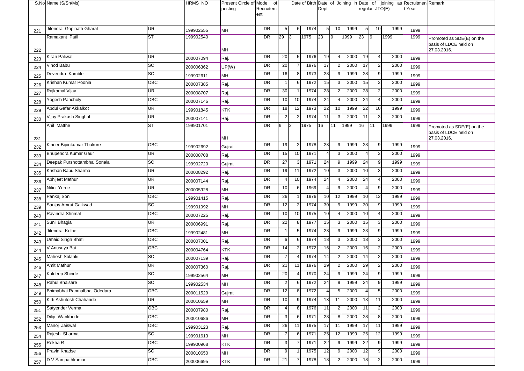|     | S.No Name (S/Sh/Ms)                    |                          | <b>HRMS NO</b>         | Present Circle of Mode<br>posting | of<br>Recruitem<br>ent |                      |                |              | Dept           |              |              |                | regular JTO(E)                   |              | Date of Birth Date of Joining in Date of joining as Recruitmen Remark<br>t Year |                                                    |
|-----|----------------------------------------|--------------------------|------------------------|-----------------------------------|------------------------|----------------------|----------------|--------------|----------------|--------------|--------------|----------------|----------------------------------|--------------|---------------------------------------------------------------------------------|----------------------------------------------------|
|     | Jitendra Gopinath Gharat               | <b>UR</b>                |                        |                                   | <b>DR</b>              | 5                    | 6              | 1974         | 5 <sub>l</sub> | 10           | 1999         | 5 <sub>l</sub> | 10                               | 1999         |                                                                                 |                                                    |
| 221 | Ramakant Patil                         | <b>ST</b>                | 199902555<br>199902540 | MH                                | <b>DR</b>              | 29                   | $\mathsf{I}3$  | 1975         | 23             | 9            | 1999         | 23             | 19                               | 1999         | 1999<br>1999                                                                    | Promoted as SDE(E) on the                          |
| 222 |                                        |                          |                        | MH                                |                        |                      |                |              |                |              |              |                |                                  |              |                                                                                 | basis of LDCE held on<br>27.03.2016.               |
| 223 | Kiran Paliwal                          | UR                       | 200007094              | Raj.                              | DR                     | 20                   | 5              | 1976         | 19             | $\Delta$     | 2000         | 19             | 4                                | 2000         | 1999                                                                            |                                                    |
| 224 | Vinod Babu                             | SC                       | 200006362              | UP(W)                             | DR                     | 20                   | 7              | 1976         | 17             |              | 2000         | 17             | $\overline{2}$                   | 2000         | 1999                                                                            |                                                    |
| 225 | Devendra Kamble                        | SC                       | 199902611              | MH                                | DR                     | 16                   | 8              | 1973         | 28             | <sub>c</sub> | 1999         | 28             | 9                                | 1999         | 1999                                                                            |                                                    |
| 226 | Krishan Kumar Poonia                   | OBC                      | 200007385              | Raj.                              | DR                     | $\mathbf{1}$         | 6              | 1972         | 15             | 3            | 2000         | 15             | 3                                | 2000         | 1999                                                                            |                                                    |
| 227 | Rajkamal Vijay                         | UR                       | 200008707              | Raj.                              | <b>DR</b>              | 30                   |                | 1974         | 28             |              | 2000         | 28             | $\overline{2}$                   | 2000         | 1999                                                                            |                                                    |
| 228 | Yogesh Pancholy                        | OBC                      | 200007146              | Raj.                              | DR                     | 10 <sup>1</sup>      | 10             | 1974         | 24             | $\Delta$     | 2000         | 24             | 4                                | 2000         | 1999                                                                            |                                                    |
| 229 | Abdul Gafar Akkalkot                   | UR                       | 199901845              | <b>KTK</b>                        | DR                     | 18                   | 12             | 1973         | 22             | 10           | 1999         | 22             | 10                               | 1999         | 1999                                                                            |                                                    |
| 230 | Vijay Prakash Singhal                  | $\overline{\mathsf{UR}}$ | 200007141              | Raj.                              | DR                     | $\overline{2}$       | 2              | 1974         | 11             |              | 2000         | 11             | 3                                | 2000         | 1999                                                                            |                                                    |
|     | Anil Matthe                            | <b>ST</b>                | 199901701              |                                   | DR                     | 9                    | 2              | 1975         | 16             | 11           | 1999         | 16             | 111                              | 1999         | 1999                                                                            | Promoted as SDE(E) on the<br>basis of LDCE held on |
| 231 | Kinner Bipinkumar Thakore              | OBC                      |                        | MH                                | DR                     | 19                   | $\overline{2}$ | 1978         | 23             | 9            | 1999         | 23             | 9                                | 1999         |                                                                                 | 27.03.2016.                                        |
| 232 | Bhupendra Kumar Gaur                   | UR                       | 199902692              | Gujrat                            | DR                     | 15 <sub>l</sub>      | 10             | 1971         |                | 3            | 2000         | $\overline{4}$ | 3                                | 2000         | 1999                                                                            |                                                    |
| 233 |                                        | SC                       | 200008708              | Raj.                              | <b>DR</b>              |                      |                | 1971         |                | -9           |              |                |                                  |              | 1999                                                                            |                                                    |
| 234 | Deepak Purshottambhai Sonala           |                          | 199902720              | Gujrat                            |                        | 27                   | 3              | 1972         | 24             | 3            | 1999<br>2000 | 24             | 9<br>3                           | 1999         | 1999                                                                            |                                                    |
| 235 | Krishan Babu Sharma<br>Abhijeet Mathur | UR<br>UR                 | 200008292              | Raj.                              | DR<br>DR               | 19<br>4              | 11<br>10       | 1974         | 10<br>24       | $\Delta$     | 2000         | 10<br>24       |                                  | 2000<br>2000 | 1999                                                                            |                                                    |
| 236 | Nitin Yerne                            | UR                       | 200007144              | Raj.                              | DR                     | 10                   | 6              | 1969         |                |              | 2000         | $\overline{4}$ | 9                                | 2000         | 1999                                                                            |                                                    |
| 237 |                                        | OBC                      | 200005928              | MH                                | DR                     |                      |                | 1976         | 10             | 12           | 1999         |                |                                  | 1999         | 1999                                                                            |                                                    |
| 238 | Pankaj Soni                            | $\overline{SC}$          | 199901415              | Raj.                              | <b>DR</b>              | 26                   | $\overline{2}$ | 1974         |                | $\mathbf{Q}$ | 1999         | 10             | 12                               |              | 1999                                                                            |                                                    |
| 239 | Sanjay Amrut Gaikwad                   | OBC                      | 199901992              | MH                                | DR                     | 12                   |                | 1975         | 30<br>10       |              | 2000         | 30<br>10       | 9                                | 1999         | 1999                                                                            |                                                    |
| 240 | Ravindra Shrimal<br>Sunil Bhagia       | UR <sup>1</sup>          | 200007225              | Raj.                              | DR                     | 10 <sup>1</sup>      | 10<br>8        | 1977         | 15             | 3            | 2000         | 15             | 3                                | 2000<br>2000 | 1999                                                                            |                                                    |
| 241 | Jitendra Kolhe                         | ОВС                      | 200006991              | Raj.                              | DR                     | 22<br>$\mathbf{1}$   | 5              | 1974         |                | 9            | 1999         |                | 9                                | 1999         | 1999                                                                            |                                                    |
| 242 | Umaid Singh Bhati                      | OBC                      | 199902481              | MH                                | DR                     | 6                    | 6              | 1974         | 23<br>18       | 3            |              | 23             | 3                                | 2000         | 1999                                                                            |                                                    |
| 243 |                                        | $\overline{OBC}$         | 200007001              | Raj.                              | DR                     |                      |                |              | 16             |              | 2000         | 18             |                                  |              | 1999                                                                            |                                                    |
| 244 | V Anusuya Bai                          | SC                       | 200004764              | <b>KTK</b>                        |                        | 14<br>$\overline{7}$ | 4              | 1972<br>1974 |                |              | 2000<br>2000 | 16             | $\overline{2}$                   | 2000         | 1999                                                                            |                                                    |
| 245 | Mahesh Solanki                         | UR                       | 200007139              | Raj.                              | DR<br>DR               |                      |                | 1976         | 14<br>29       |              | 2000         | 14             | $\overline{2}$<br>$\overline{2}$ | 2000         | 1999                                                                            |                                                    |
| 246 | Amit Mathur                            |                          | 200007360              | Raj.                              |                        | 21                   | 11             |              |                |              |              | 29             | 9                                | 2000         | 1999                                                                            |                                                    |
| 247 | Kuldeep Shinde                         | SC                       | 199902564              | MH                                | DR                     | 20                   | 4              | 1970         | 24             |              | 1999         | 24             |                                  | 1999         | 1999                                                                            |                                                    |
| 248 | Rahul Bhaisare                         | SC                       | 199902534              | MH                                | <b>DR</b>              | ۷                    | 6              | 1972         | 24             | 9            | 1999         | 24             | 9                                | 1999         | 1999                                                                            |                                                    |
| 249 | Bhimabhai Ranmalbhai Odedara           | $\overline{OBC}$         | 200011529              | Gujrat                            | <b>DR</b>              | 12                   | 8              | 1972         |                | 5            | 2000         | $\overline{4}$ | 5                                | 2000         | 1999                                                                            |                                                    |
| 250 | Kirti Ashutosh Chahande                | UR                       | 200010659              | MH                                | DR                     | 10 <sup>1</sup>      | 9              | 1974         | 13             | 11           | 2000         | 13             | 11                               | 2000         | 1999                                                                            |                                                    |
| 251 | Satyender Verma                        | OBC                      | 200007980              | Raj.                              | DR                     | $\overline{4}$       | 8              | 1976         | 11             | 2            | 2000         | 11             | $\overline{\mathbf{c}}$          | 2000         | 1999                                                                            |                                                    |
| 252 | Dilip Wankhede                         | ОВС                      | 200010686              | MH                                | DR                     | 3                    | 6              | 1971         | 28             | Я            | 2000         | 28             | 8                                | 2000         | 1999                                                                            |                                                    |
| 253 | Manoj Jaiswal                          | OBC                      | 199903123              | Raj.                              | DR                     | 26                   | 11             | 1975         | 17             | 11           | 1999         | 17             | 11                               | 1999         | 1999                                                                            |                                                    |
| 254 | Rajesh Sharma                          | SC                       | 199901613              | MH                                | DR                     | -7                   | 6              | 1971         | 25             | 12           | 1999         | 25             | 12                               | 1999         | 1999                                                                            |                                                    |
| 255 | Rekha R                                | OBC                      | 199900968              | <b>KTK</b>                        | DR                     | 3                    |                | 1971         | 22             | .c           | 1999         | 22             | 9                                | 1999         | 1999                                                                            |                                                    |
| 256 | Pravin Khadse                          | SC                       | 200010650              | MH                                | DR                     | 9                    |                | 1975         | 12             | ʻö,          | 2000         | 12             | 9                                | 2000         | 1999                                                                            |                                                    |
| 257 | D V Sampathkumar                       | OBC                      | 200006695              | KTK                               | DR                     | 21                   |                | 1978         | 18             |              | 2000         | 18             |                                  | 2000         | 1999                                                                            |                                                    |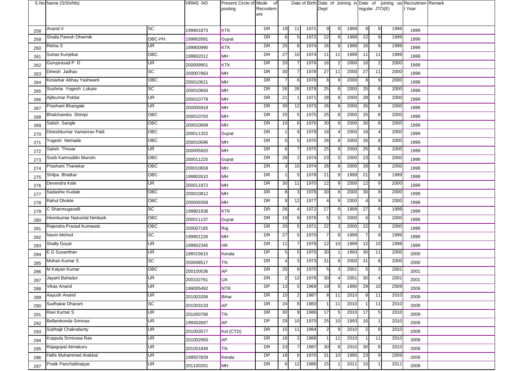|     | S.No Name (S/Sh/Ms)          |                | <b>HRMS NO</b> | Present Circle of Mode<br>posting | of<br>Recruitem<br>ent |                |    |      | Dept            |                |      |                | regular JTO(E) |      | Date of Birth Date of Joining in Date of joining as Recruitmen Remark<br>t Year |  |
|-----|------------------------------|----------------|----------------|-----------------------------------|------------------------|----------------|----|------|-----------------|----------------|------|----------------|----------------|------|---------------------------------------------------------------------------------|--|
| 258 | Anand V                      | <b>SC</b>      | 199901873      | <b>KTK</b>                        | DR                     | 19             | 11 | 1971 | 9               | 9              | 1999 | 9              | 9              | 1999 | 1999                                                                            |  |
| 259 | Shaila Paresh Dharmik        | OBC-PH         | 199902691      | Gujrat                            | DR                     | 6              |    | 1972 | 22              |                | 1999 | 22             | 9              | 1999 | 1999                                                                            |  |
| 260 | Retna S                      | UR             | 199900990      | <b>KTK</b>                        | DR                     | 25             | 8  | 1974 | 16              |                | 1999 | 16             | 9              | 1999 | 1999                                                                            |  |
| 261 | Suhas Kunjekar               | OBC            | 199902012      | MH                                | DR                     | 27             | 10 | 1974 | 11              | 11             | 1999 | 11             | 11             | 1999 | 1999                                                                            |  |
| 262 | Guruprasad P D               | UR             | 200009901      | <b>KTK</b>                        | <b>DR</b>              | 20             |    | 1976 | 16              |                | 2000 | 16             | $\overline{2}$ | 2000 | 1999                                                                            |  |
| 263 | Dinesh Jadhav                | <b>SC</b>      | 200007863      | MH                                | DR                     | 30             |    | 1978 | 27              | 11             | 2000 | 27             | 11             | 2000 | 1999                                                                            |  |
| 264 | Kesarkar Abhay Yashwant      | OBC            | 200010621      | MH                                | DR                     |                |    | 1978 | 8               |                | 2000 | 8              | 9              | 2000 | 1999                                                                            |  |
| 265 | Sushma Yogesh Lokare         | <b>SC</b>      | 200010693      | MH                                | DR                     | 26             | 26 | 1978 | 25              |                | 2000 | 25             | 8              | 2000 | 1999                                                                            |  |
| 266 | Ajitkumar Potdar             | <b>UR</b>      | 200010778      | MH                                | DR                     | 21             |    | 1971 | 28              |                | 2000 | 28             | 8              | 2000 | 1999                                                                            |  |
| 267 | Prashant Bhangale            | <b>UR</b>      | 200005918      | MH                                | DR                     | 30             | 12 | 1973 | 26              |                | 2000 | 26             | 8              | 2000 | 1999                                                                            |  |
| 268 | Bhalchandra Shimpi           | OBC            | 200010703      | MH                                | DR                     | 25             |    | 1975 | 25              |                | 2000 | 25             | 8              | 2000 | 1999                                                                            |  |
| 269 | Satish Sangle                | OBC            | 200010699      | MH                                | DR                     | 10             |    | 1976 | 30              |                | 2000 | 30             | 8              | 2000 | 1999                                                                            |  |
| 270 | Dineshkumar Vamanrav Patil   | OBC            | 200011322      | Gujrat                            | DR                     |                |    | 1978 | 18              |                | 2000 | 18             | $\overline{4}$ | 2000 | 1999                                                                            |  |
| 271 | Yogesh Nemade                | OBC            | 200010696      | MH                                | DR                     | 5              | 5  | 1970 | 26              |                | 2000 | 26             | 8              | 2000 | 1999                                                                            |  |
| 272 | Satish Thosar                | UR             | 200005920      | MH                                | DR                     | 6 <sup>1</sup> |    | 1975 | 25              |                | 2000 | 25             | 8              | 2000 | 1999                                                                            |  |
| 273 | Soeb Kamruddin Munshi        | OBC            | 200011225      | Gujrat                            | DR                     | 28             |    | 1974 | 23              |                | 2000 | 23             | $\sqrt{5}$     | 2000 | 1999                                                                            |  |
| 274 | <b>Prashant Thanekar</b>     | OBC            | 200010658      | MH                                | DR                     | 3              | 10 | 1974 | 28              |                | 2000 | 28             | 8              | 2000 | 1999                                                                            |  |
| 275 | Shilpa Bhatkar               | OBC            | 199902610      | MH                                | DR                     | $\mathbf{1}$   | 5  | 1978 | 21              |                | 1999 | 21             | 9              | 1999 | 1999                                                                            |  |
| 276 | Devendra Kale                | <b>UR</b>      | 200011972      | MH                                | DR                     | 30             | 11 | 1970 | 12              |                | 2000 | 12             | 9              | 2000 | 1999                                                                            |  |
| 277 | Sadashiv Kudale              | OBC            | 200010812      | MH                                | DR                     | 8              |    | 1978 | 30 <sup>1</sup> |                | 2000 | 30             | 8              | 2000 | 1999                                                                            |  |
| 278 | Rahul Dhokte                 | OBC            | 200009358      | MH                                | DR                     | $9 \square$    | 12 | 1977 | 4               |                | 2000 | $\overline{4}$ | 9              | 2000 | 1999                                                                            |  |
| 279 | C Shanmugavalli              | <b>SC</b>      | 199901938      | KTK                               | DR                     | 26             |    | 1972 | 27              | 9              | 1999 | 27             | 9              | 1999 | 1999                                                                            |  |
| 280 | Hirenkumar Natvarlal Nimbark | OBC            | 200011137      | Gujrat                            | DR                     | 19             |    | 1976 | 5               |                | 2000 | 5              | 5              | 2000 | 1999                                                                            |  |
| 281 | Rajendra Prasad Kumawat      | OBC            | 200007165      | Raj.                              | DR                     | 20             |    | 1971 | 22              |                | 2000 | 22             | 3              | 2000 | 1999                                                                            |  |
| 282 | Navin Mohod                  | <b>SC</b>      | 199901226      | MH                                | <b>DR</b>              | 27             |    | 1970 |                 | 9              | 1999 |                | 9              | 1999 | 1999                                                                            |  |
| 283 | <b>Shally Goyal</b>          | <b>UR</b>      | 199902345      | <b>HR</b>                         | DR                     | 11             |    | 1978 | 12              | 10             | 1999 | 12             | 10             | 1999 | 1999                                                                            |  |
| 284 | E G Susanthan                | UR             | 199315615      | Kerala                            | DP                     | 5              |    | 1970 | 30              |                | 1993 | 30             | 11             | 2000 | 2000                                                                            |  |
| 285 | Mohan Kumar S                | <b>SC</b>      | 200008517      | TN                                | DR                     | $4 \mathsf{I}$ |    | 1973 | 31              |                | 2000 | 31             | 8              | 2000 | 2000                                                                            |  |
| 286 | M Kalyan Kumar               | OBC            | 200100536      | <b>AP</b>                         | DR                     | 25             |    | 1970 | 5               |                | 2001 | 5              | 3              | 2001 | 2001                                                                            |  |
| 287 | Jayant Bahadur               | <b>UR</b>      | 200102761      | UA                                | <b>DR</b>              | 2 <sup>1</sup> | 12 | 1976 | 30              | 4 <sub>1</sub> | 2001 | 30             | $\overline{4}$ | 2001 | 2001                                                                            |  |
| 288 | Vikas Anand                  | <b>UR</b>      | 199005492      | <b>NTR</b>                        | <b>DP</b>              | 13             | 5  | 1969 | 19              | 5              | 1990 | 29             | 10             | 2009 | 2009                                                                            |  |
| 289 | Aayush Anand                 | UR             | 201003206      | Bihar                             | DR                     | 15             |    | 1987 | 8               | 11             | 2010 | 8              | 11             | 2010 | 2009                                                                            |  |
| 290 | Sudhakar Dharam              | <b>SC</b>      | 201003133      | <b>AP</b>                         | DR                     | 24             | 8  | 1983 |                 | 11             | 2010 |                | 11             | 2010 | 2009                                                                            |  |
| 291 | Ravi Kumar S                 | UR             | 201000786      | <b>TN</b>                         | DR                     | 30             | 9  | 1986 | 17              | 5              | 2010 | 17             | 5              | 2010 | 2009                                                                            |  |
| 292 | Bellamkonda Srinivas         | UR <sup></sup> | 199302697      | <b>AP</b>                         | <b>DP</b>              | 29             | 10 | 1970 | 25              | 10             | 1993 | 16             |                | 2010 | 2009                                                                            |  |
| 293 | Subhajit Chakraborty         | <b>UR</b>      | 201003577      | Kol (CTD)                         | DR                     | 15             | 11 | 1984 | $\overline{2}$  | 9              | 2010 | $\overline{2}$ | 9              | 2010 | 2009                                                                            |  |
| 294 | Koppula Srinivasa Rao        | UR             | 201002950      | <b>AP</b>                         | <b>DR</b>              | 16             |    | 1988 |                 | 11             | 2010 | 1              | 11             | 2010 | 2009                                                                            |  |
| 295 | Rajagopal Atmakuru           | UR             | 201001848      | TN                                | DR                     | 23             |    | 1987 | 30              |                | 2010 | 30             | 8              | 2010 | 2009                                                                            |  |
| 296 | Hafis Muhammed Arakkal       | UR             | 199507828      | Kerala                            | DP                     | 18             | 6  | 1970 | 31              | 10             | 1995 | 23             | 9              | 2009 | 2009                                                                            |  |
| 297 | Pratik Panchabhaiyye         | UR             | 201100201      | MH                                | DR                     | 6              | 12 | 1986 | 15              |                | 2011 | 15             |                | 2011 | 2009                                                                            |  |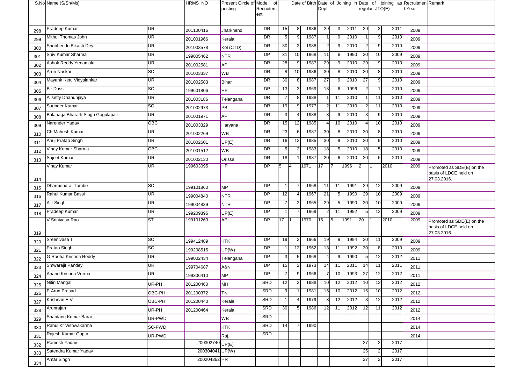|     | S.No Name (S/Sh/Ms)                |                 | <b>HRMS NO</b>  | Present Circle of Mode<br>posting | of<br>Recruitem<br>ent |                |                |      | Dept           |    |      |                | regular JTO(E) |      | Date of Birth Date of Joining in Date of joining as Recruitmen Remark<br>t Year |                                                                   |
|-----|------------------------------------|-----------------|-----------------|-----------------------------------|------------------------|----------------|----------------|------|----------------|----|------|----------------|----------------|------|---------------------------------------------------------------------------------|-------------------------------------------------------------------|
| 298 | Pradeep Kumar                      | UR              | 201100416       | Jharkhand                         | DR                     | 15             | 8              | 1986 | 29             | 3  | 2011 | 29             | $\mathbf{3}$   | 2011 | 2009                                                                            |                                                                   |
| 299 | Mithul Thomas John                 | UR              | 201001966       | Kerala                            | DR                     | 5 <sub>l</sub> | 9              | 1987 |                |    | 2010 |                | 9              | 2010 | 2009                                                                            |                                                                   |
| 300 | Shubhendu Bikash Dey               | UR              | 201003578       | Kol (CTD)                         | DR                     | 30             | 3              | 1988 | $\overline{2}$ |    | 2010 | $\overline{2}$ | 9              | 2010 | 2009                                                                            |                                                                   |
| 301 | Shiv Kumar Sharma                  | UR              | 199005462       | <b>NTR</b>                        | DP                     | 31             | 10             | 1968 | 11             | 6  | 1990 | 30             | 10             | 2009 | 2009                                                                            |                                                                   |
| 302 | Ashok Reddy Yenamala               | UR              | 201002581       | <b>AP</b>                         | DR                     | 28             | 9              | 1987 | 29             |    | 2010 | 29             | 9              | 2010 | 2009                                                                            |                                                                   |
| 303 | Arun Naskar                        | $\overline{SC}$ | 201003337       | WB                                | DR                     | 8              | 10             | 1986 | 30             |    | 2010 | 30             | 8              | 2010 | 2009                                                                            |                                                                   |
| 304 | Mayank Ketu Vidyalankar            | UR              | 201002583       | Bihar                             | DR                     | 30             | 8              | 1987 | 27             | -9 | 2010 | 27             | 9              | 2010 | 2009                                                                            |                                                                   |
| 305 | <b>Bir Dass</b>                    | SC              | 199601806       | <b>HP</b>                         | DP                     | 13             |                | 1969 | 18             | -6 | 1996 | $\overline{2}$ | $\overline{1}$ | 2010 | 2009                                                                            |                                                                   |
| 306 | Alisetty Dhanunjaya                | UR              | 201003186       | Telangana                         | DR                     | $\overline{7}$ | 8              | 1988 |                | 11 | 2010 |                | 11             | 2010 | 2009                                                                            |                                                                   |
| 307 | Surinder Kumar                     | <b>SC</b>       | 201002973       | PB                                | <b>DR</b>              | 19             | 9              | 1977 | 2              | 11 | 2010 | $\overline{2}$ | 11             | 2010 | 2009                                                                            |                                                                   |
| 308 | Balanaga Bharath Singh Gogulapalli | UR              | 201001971       | AP                                | DR                     | 3              |                | 1988 | 3              |    | 2010 | 3              | 9              | 2010 | 2009                                                                            |                                                                   |
| 309 | Narender Yadav                     | OBC             | 201003329       | Haryana                           | DR                     | 15             | 12             | 1985 | 4              | 10 | 2010 |                | 10             | 2010 | 2009                                                                            |                                                                   |
| 310 | Ch Mahesh Kumar                    | UR              | 201002269       | WB                                | DR                     | 23             | 6              | 1987 | 30             |    | 2010 | 30             | 8              | 2010 | 2009                                                                            |                                                                   |
| 311 | Anuj Pratap Singh                  | UR              | 201002601       | UP(E)                             | DR                     | 16             | 12             | 1985 | 30             | -9 | 2010 | 30             | 9              | 2010 | 2009                                                                            |                                                                   |
| 312 | Vinay Kumar Sharma                 | OBC             | 201001512       | <b>WB</b>                         | DR                     | 5              |                | 1983 | 18             | F  | 2010 | 18             | $\sqrt{5}$     | 2010 | 2009                                                                            |                                                                   |
| 313 | Sujeet Kumar                       | UR              | 201002130       | Orissa                            | DR                     | 18             |                | 1987 | 20             |    | 2010 | 20             | 6              | 2010 | 2009                                                                            |                                                                   |
| 314 | Vinay Kumar                        | UR              | 199603095       | HP                                | DP                     | 5              | 14             | 1971 | 17             | 17 | 1996 | $\overline{2}$ | <b>11</b>      | 2010 | 2009                                                                            | Promoted as SDE(E) on the<br>basis of LDCE held on<br>27.03.2016. |
| 315 | Dharmendra Tambe                   | SC              | 199101860       | <b>MP</b>                         | DP                     | -1             |                | 1968 | 11             | 11 | 1991 | 29             | 12             | 2009 | 2009                                                                            |                                                                   |
| 316 | Rahul Kumar Bassi                  | UR              | 199004840       | <b>NTR</b>                        | DP                     | 12             |                | 1967 | 21             | 5  | 1990 | 29             | 10             | 2009 | 2009                                                                            |                                                                   |
| 317 | Ajit Singh                         | UR              | 199004839       | <b>NTR</b>                        | DP                     |                |                | 1965 | 29             | -5 | 1990 | 30             | 10             | 2009 | 2009                                                                            |                                                                   |
| 318 | Pradeep Kumar                      | UR              | 199209396       | UP(E)                             | DP                     | -1             |                | 1969 | $\overline{2}$ | 11 | 1992 | 5              | 12             | 2009 | 2009                                                                            |                                                                   |
| 319 | V Srinivasa Rao                    | ST              | 199101263       | AP                                | DP                     | 17             |                | 1970 | 15             | 5  | 1991 | 20             |                | 2010 | 2009                                                                            | Promoted as SDE(E) on the<br>basis of LDCE held on<br>27.03.2016. |
| 320 | Sreenivasa T                       | SC              | 199412489       | KTK                               | DP                     | 19             | $\overline{2}$ | 1966 | 19             | 9  | 1994 | 30             | 11             | 2009 | 2009                                                                            |                                                                   |
| 321 | Pratap Singh                       | SC              | 199208515       | UP(W)                             | DP                     |                | 12             | 1962 | 13             | 11 | 1992 | 30             | 8              | 2010 | 2009                                                                            |                                                                   |
| 322 | G Radha Krishna Reddy              | UR              | 199002434       | Telangana                         | DP                     | 3              | 5              | 1968 |                |    | 1990 | 5              | 12             | 2012 | 2011                                                                            |                                                                   |
| 323 | Smwarajit Pandey                   | UR              | 199704687       | A&N                               | DP                     | 15             | 2              | 1973 | 14             | 11 | 2011 | 14             | 11             | 2011 | 2011                                                                            |                                                                   |
| 324 | Anand Krishna Verma                | UR              | 199306410       | <b>MP</b>                         | DP                     |                |                | 1966 |                | 10 | 1993 | 27             | 12             | 2012 | 2011                                                                            |                                                                   |
| 325 | Nitin Mangal                       | UR-PH           | 201200460       | MH                                | SRD                    | 12             | 2              | 1988 | 10 <b>I</b>    | 12 | 2012 | 10             | 12             | 2012 | 2012                                                                            |                                                                   |
| 326 | P Arun Prasad                      | OBC-PH          | 201200372       | <b>TN</b>                         | SRD                    | 9 <sub>l</sub> |                | 1981 | 15             | 10 | 2012 | 15             | 10             | 2012 | 2012                                                                            |                                                                   |
| 327 | Krishnan E V                       | OBC-PH          | 201200440       | Kerala                            | SRD                    | $\mathbf 1$    |                | 1979 | 3              | 12 | 2012 | 3              | 12             | 2012 | 2012                                                                            |                                                                   |
| 328 | Arunrajan                          | UR-PH           | 201200464       | Kerala                            | <b>SRD</b>             | 30             | 5              | 1986 | 12             | 11 | 2012 | 12             | 11             | 2012 | 2012                                                                            |                                                                   |
| 329 | Shantanu Kumar Barai               | UR-PWD          |                 | WB                                | <b>SRD</b>             |                |                |      |                |    |      |                |                |      | 2014                                                                            |                                                                   |
| 330 | Rahul Kr Vishwakarma               | SC-PWD          |                 | <b>KTK</b>                        | SRD                    | 14             |                | 1990 |                |    |      |                |                |      | 2014                                                                            |                                                                   |
| 331 | Rajesh Kumar Gupta                 | UR-PWD          |                 | Raj.                              | SRD                    |                |                |      |                |    |      |                |                |      | 2014                                                                            |                                                                   |
| 332 | Ramesh Yadav                       |                 | 200302740 UP(E) |                                   |                        |                |                |      |                |    |      | 27             | $\overline{2}$ | 2017 |                                                                                 |                                                                   |
| 333 | Satendra Kumar Yadav               |                 | 200304041 UP(W) |                                   |                        |                |                |      |                |    |      | 25             | $\overline{a}$ | 2017 |                                                                                 |                                                                   |
| 334 | Amar Singh                         |                 | 200204362 HR    |                                   |                        |                |                |      |                |    |      | 27             | $\overline{2}$ | 2017 |                                                                                 |                                                                   |